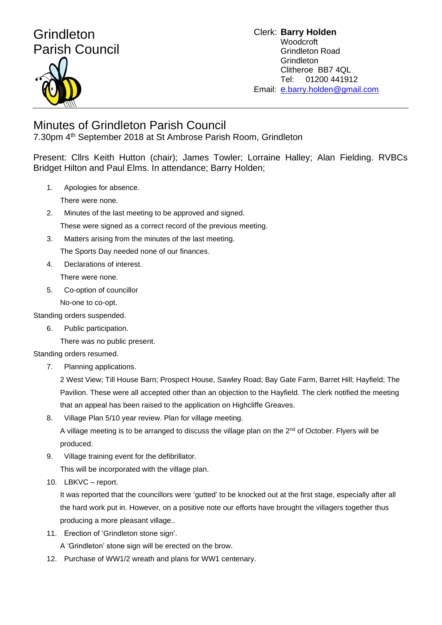## Grindleton Parish Council

Clerk: **Barry Holden** Woodcroft Grindleton Road **Grindleton** Clitheroe BB7 4QL Tel: 01200 441912 Email: [e](mailto:edwardbholden@yahoo.co.uk).barry.holden@gmail.com

## Minutes of Grindleton Parish Council

7.30pm 4th September 2018 at St Ambrose Parish Room, Grindleton

Present: Cllrs Keith Hutton (chair); James Towler; Lorraine Halley; Alan Fielding. RVBCs Bridget Hilton and Paul Elms. In attendance; Barry Holden;

1. Apologies for absence.

There were none.

- 2. Minutes of the last meeting to be approved and signed. These were signed as a correct record of the previous meeting.
- 3. Matters arising from the minutes of the last meeting.

The Sports Day needed none of our finances.

- 4. Declarations of interest. There were none.
- 5. Co-option of councillor

No-one to co-opt.

Standing orders suspended.

6. Public participation.

There was no public present.

Standing orders resumed.

7. Planning applications.

2 West View; Till House Barn; Prospect House, Sawley Road; Bay Gate Farm, Barret Hill; Hayfield; The Pavilion. These were all accepted other than an objection to the Hayfield. The clerk notified the meeting that an appeal has been raised to the application on Highcliffe Greaves.

8. Village Plan 5/10 year review. Plan for village meeting.

A village meeting is to be arranged to discuss the village plan on the  $2<sup>nd</sup>$  of October. Flyers will be produced.

9. Village training event for the defibrillator.

This will be incorporated with the village plan.

10. LBKVC – report.

It was reported that the councillors were 'gutted' to be knocked out at the first stage, especially after all the hard work put in. However, on a positive note our efforts have brought the villagers together thus producing a more pleasant village..

11. Erection of 'Grindleton stone sign'.

A 'Grindleton' stone sign will be erected on the brow.

12. Purchase of WW1/2 wreath and plans for WW1 centenary.